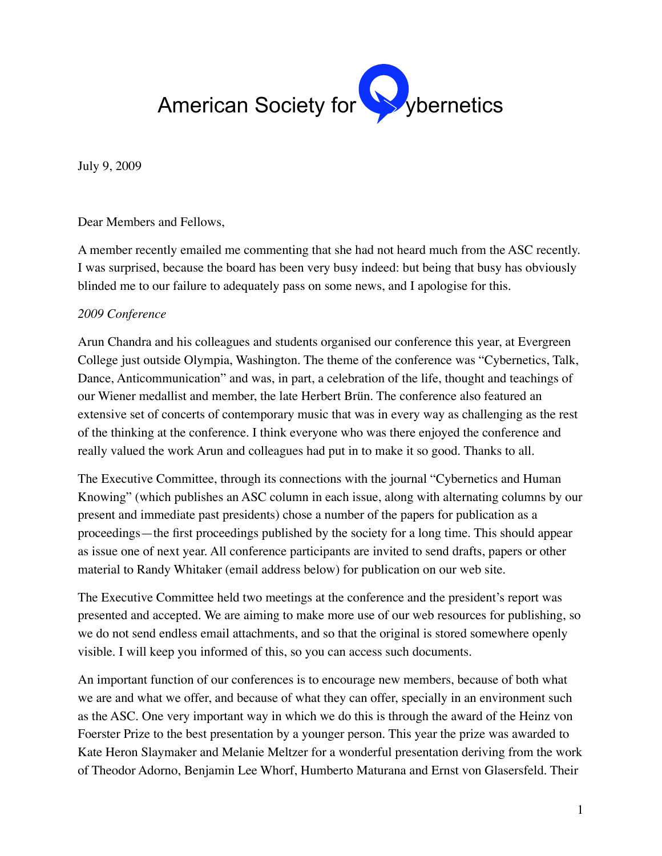

July 9, 2009

Dear Members and Fellows,

A member recently emailed me commenting that she had not heard much from the ASC recently. I was surprised, because the board has been very busy indeed: but being that busy has obviously blinded me to our failure to adequately pass on some news, and I apologise for this.

#### *2009 Conference*

Arun Chandra and his colleagues and students organised our conference this year, at Evergreen College just outside Olympia, Washington. The theme of the conference was "Cybernetics, Talk, Dance, Anticommunication" and was, in part, a celebration of the life, thought and teachings of our Wiener medallist and member, the late Herbert Brün. The conference also featured an extensive set of concerts of contemporary music that was in every way as challenging as the rest of the thinking at the conference. I think everyone who was there enjoyed the conference and really valued the work Arun and colleagues had put in to make it so good. Thanks to all.

The Executive Committee, through its connections with the journal "Cybernetics and Human Knowing" (which publishes an ASC column in each issue, along with alternating columns by our present and immediate past presidents) chose a number of the papers for publication as a proceedings—the first proceedings published by the society for a long time. This should appear as issue one of next year. All conference participants are invited to send drafts, papers or other material to Randy Whitaker (email address below) for publication on our web site.

The Executive Committee held two meetings at the conference and the president's report was presented and accepted. We are aiming to make more use of our web resources for publishing, so we do not send endless email attachments, and so that the original is stored somewhere openly visible. I will keep you informed of this, so you can access such documents.

An important function of our conferences is to encourage new members, because of both what we are and what we offer, and because of what they can offer, specially in an environment such as the ASC. One very important way in which we do this is through the award of the Heinz von Foerster Prize to the best presentation by a younger person. This year the prize was awarded to Kate Heron Slaymaker and Melanie Meltzer for a wonderful presentation deriving from the work of Theodor Adorno, Benjamin Lee Whorf, Humberto Maturana and Ernst von Glasersfeld. Their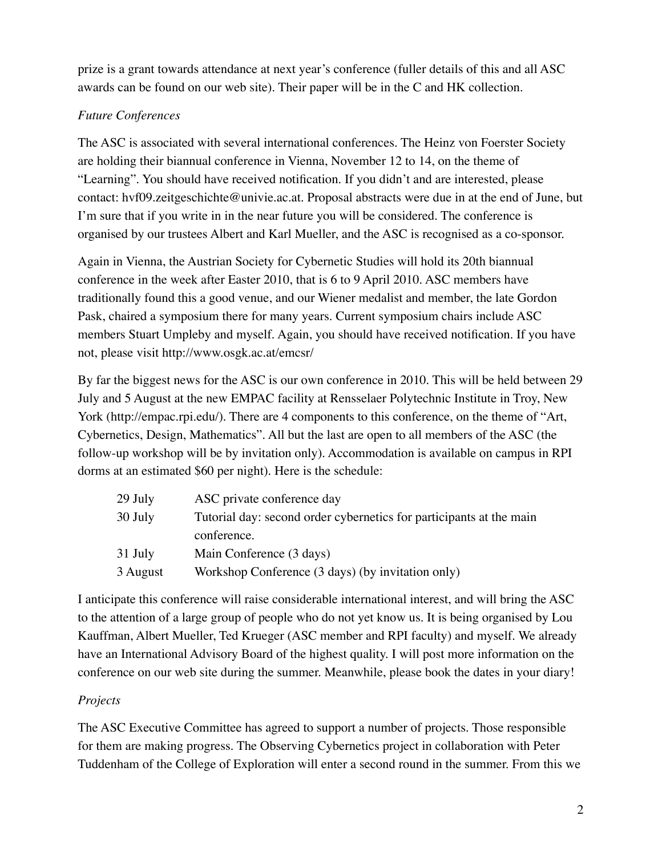prize is a grant towards attendance at next year's conference (fuller details of this and all ASC awards can be found on our web site). Their paper will be in the C and HK collection.

# *Future Conferences*

The ASC is associated with several international conferences. The Heinz von Foerster Society are holding their biannual conference in Vienna, November 12 to 14, on the theme of "Learning". You should have received notification. If you didn't and are interested, please contact: hvf09.zeitgeschichte@univie.ac.at. Proposal abstracts were due in at the end of June, but I'm sure that if you write in in the near future you will be considered. The conference is organised by our trustees Albert and Karl Mueller, and the ASC is recognised as a co-sponsor.

Again in Vienna, the Austrian Society for Cybernetic Studies will hold its 20th biannual conference in the week after Easter 2010, that is 6 to 9 April 2010. ASC members have traditionally found this a good venue, and our Wiener medalist and member, the late Gordon Pask, chaired a symposium there for many years. Current symposium chairs include ASC members Stuart Umpleby and myself. Again, you should have received notification. If you have not, please visit http://www.osgk.ac.at/emcsr/

By far the biggest news for the ASC is our own conference in 2010. This will be held between 29 July and 5 August at the new EMPAC facility at Rensselaer Polytechnic Institute in Troy, New York (http://empac.rpi.edu/). There are 4 components to this conference, on the theme of "Art, Cybernetics, Design, Mathematics". All but the last are open to all members of the ASC (the follow-up workshop will be by invitation only). Accommodation is available on campus in RPI dorms at an estimated \$60 per night). Here is the schedule:

| 29 July  | ASC private conference day                                          |
|----------|---------------------------------------------------------------------|
| 30 July  | Tutorial day: second order cybernetics for participants at the main |
|          | conference.                                                         |
| 31 July  | Main Conference (3 days)                                            |
| 3 August | Workshop Conference (3 days) (by invitation only)                   |

I anticipate this conference will raise considerable international interest, and will bring the ASC to the attention of a large group of people who do not yet know us. It is being organised by Lou Kauffman, Albert Mueller, Ted Krueger (ASC member and RPI faculty) and myself. We already have an International Advisory Board of the highest quality. I will post more information on the conference on our web site during the summer. Meanwhile, please book the dates in your diary!

## *Projects*

The ASC Executive Committee has agreed to support a number of projects. Those responsible for them are making progress. The Observing Cybernetics project in collaboration with Peter Tuddenham of the College of Exploration will enter a second round in the summer. From this we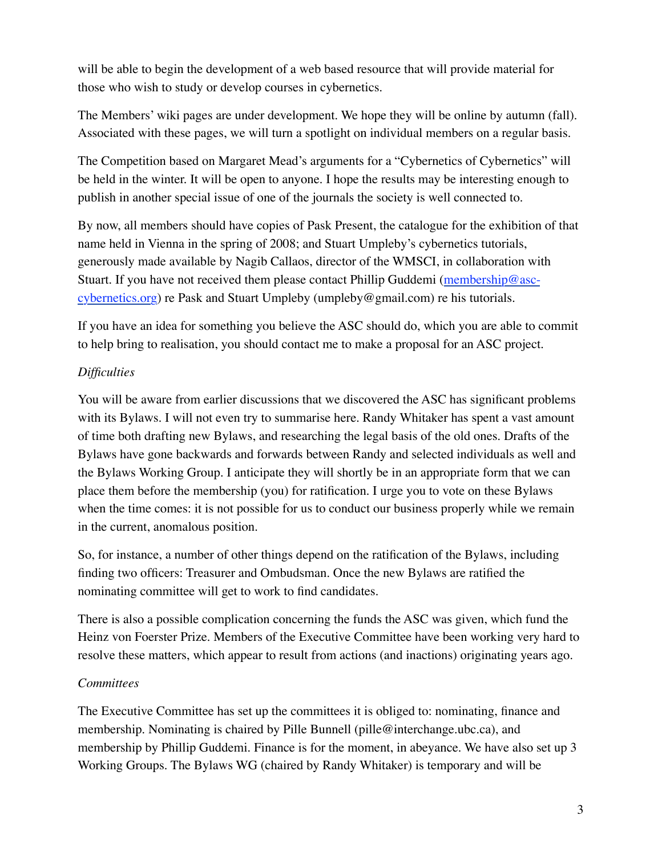will be able to begin the development of a web based resource that will provide material for those who wish to study or develop courses in cybernetics.

The Members' wiki pages are under development. We hope they will be online by autumn (fall). Associated with these pages, we will turn a spotlight on individual members on a regular basis.

The Competition based on Margaret Mead's arguments for a "Cybernetics of Cybernetics" will be held in the winter. It will be open to anyone. I hope the results may be interesting enough to publish in another special issue of one of the journals the society is well connected to.

By now, all members should have copies of Pask Present, the catalogue for the exhibition of that name held in Vienna in the spring of 2008; and Stuart Umpleby's cybernetics tutorials, generously made available by Nagib Callaos, director of the WMSCI, in collaboration with Stuart. If you have not received them please contact Phillip Guddemi (membership@asccybernetics.org) re Pask and Stuart Umpleby (umpleby@gmail.com) re his tutorials.

If you have an idea for something you believe the ASC should do, which you are able to commit to help bring to realisation, you should contact me to make a proposal for an ASC project.

## *Difficulties*

You will be aware from earlier discussions that we discovered the ASC has significant problems with its Bylaws. I will not even try to summarise here. Randy Whitaker has spent a vast amount of time both drafting new Bylaws, and researching the legal basis of the old ones. Drafts of the Bylaws have gone backwards and forwards between Randy and selected individuals as well and the Bylaws Working Group. I anticipate they will shortly be in an appropriate form that we can place them before the membership (you) for ratification. I urge you to vote on these Bylaws when the time comes: it is not possible for us to conduct our business properly while we remain in the current, anomalous position.

So, for instance, a number of other things depend on the ratification of the Bylaws, including finding two officers: Treasurer and Ombudsman. Once the new Bylaws are ratified the nominating committee will get to work to find candidates.

There is also a possible complication concerning the funds the ASC was given, which fund the Heinz von Foerster Prize. Members of the Executive Committee have been working very hard to resolve these matters, which appear to result from actions (and inactions) originating years ago.

## *Committees*

The Executive Committee has set up the committees it is obliged to: nominating, finance and membership. Nominating is chaired by Pille Bunnell (pille@interchange.ubc.ca), and membership by Phillip Guddemi. Finance is for the moment, in abeyance. We have also set up 3 Working Groups. The Bylaws WG (chaired by Randy Whitaker) is temporary and will be